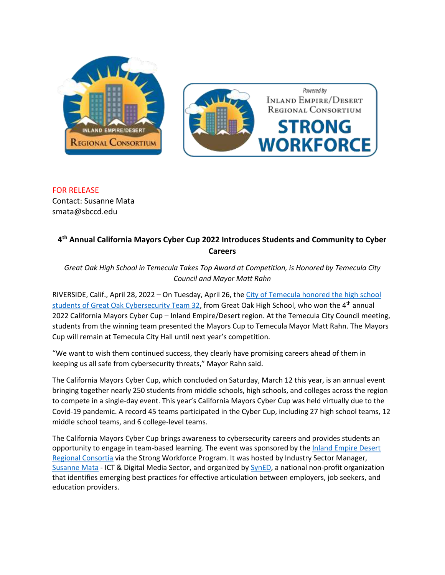



FOR RELEASE Contact: Susanne Mata smata@sbccd.edu

## **4 th Annual California Mayors Cyber Cup 2022 Introduces Students and Community to Cyber Careers**

*Great Oak High School in Temecula Takes Top Award at Competition, is Honored by Temecula City Council and Mayor Matt Rahn*

RIVERSIDE, Calif., April 28, 2022 – On Tuesday, April 26, the [City of Temecula honored the high school](https://www.youtube.com/watch?v=yKgO5RZmK8s&list=PLjpg3MGwGIcaUyy7Kw8qbQjSdvFjTVCFZ&index=1&t=2163s)  [students of Great Oak Cybersecurity Team 32,](https://www.youtube.com/watch?v=yKgO5RZmK8s&list=PLjpg3MGwGIcaUyy7Kw8qbQjSdvFjTVCFZ&index=1&t=2163s) from Great Oak High School, who won the 4<sup>th</sup> annual 2022 California Mayors Cyber Cup – Inland Empire/Desert region. At the Temecula City Council meeting, students from the winning team presented the Mayors Cup to Temecula Mayor Matt Rahn. The Mayors Cup will remain at Temecula City Hall until next year's competition.

"We want to wish them continued success, they clearly have promising careers ahead of them in keeping us all safe from cybersecurity threats," Mayor Rahn said.

The California Mayors Cyber Cup, which concluded on Saturday, March 12 this year, is an annual event bringing together nearly 250 students from middle schools, high schools, and colleges across the region to compete in a single-day event. This year's California Mayors Cyber Cup was held virtually due to the Covid-19 pandemic. A record 45 teams participated in the Cyber Cup, including 27 high school teams, 12 middle school teams, and 6 college-level teams.

The California Mayors Cyber Cup brings awareness to cybersecurity careers and provides students an opportunity to engage in team-based learning. The event was sponsored by th[e Inland Empire Desert](https://desertcolleges.org/strong-workforce/)  [Regional Consortia](https://desertcolleges.org/strong-workforce/) via the Strong Workforce Program. It was hosted by Industry Sector Manager, [Susanne Mata](https://ictdmsector.org/susanne-mata-2/) - ICT & Digital Media Sector, and organized by [SynED,](https://syned.org/) a national non-profit organization that identifies emerging best practices for effective articulation between employers, job seekers, and education providers.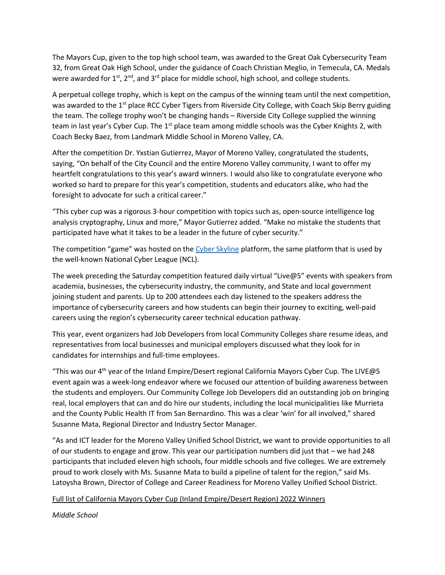The Mayors Cup, given to the top high school team, was awarded to the Great Oak Cybersecurity Team 32, from Great Oak High School, under the guidance of Coach Christian Meglio, in Temecula, CA. Medals were awarded for 1<sup>st</sup>,  $2^{nd}$ , and  $3^{rd}$  place for middle school, high school, and college students.

A perpetual college trophy, which is kept on the campus of the winning team until the next competition, was awarded to the 1<sup>st</sup> place RCC Cyber Tigers from Riverside City College, with Coach Skip Berry guiding the team. The college trophy won't be changing hands – Riverside City College supplied the winning team in last year's Cyber Cup. The 1<sup>st</sup> place team among middle schools was the Cyber Knights 2, with Coach Becky Baez, from Landmark Middle School in Moreno Valley, CA.

After the competition Dr. Yxstian Gutierrez, Mayor of Moreno Valley, congratulated the students, saying, "On behalf of the City Council and the entire Moreno Valley community, I want to offer my heartfelt congratulations to this year's award winners. I would also like to congratulate everyone who worked so hard to prepare for this year's competition, students and educators alike, who had the foresight to advocate for such a critical career."

"This cyber cup was a rigorous 3-hour competition with topics such as, open-source intelligence log analysis cryptography, Linux and more," Mayor Gutierrez added. "Make no mistake the students that participated have what it takes to be a leader in the future of cyber security."

The competition "game" was hosted on the [Cyber Skyline](https://cyberskyline.com/) platform, the same platform that is used by the well-known National Cyber League (NCL).

The week preceding the Saturday competition featured daily virtual "Live@5" events with speakers from academia, businesses, the cybersecurity industry, the community, and State and local government joining student and parents. Up to 200 attendees each day listened to the speakers address the importance of cybersecurity careers and how students can begin their journey to exciting, well-paid careers using the region's cybersecurity career technical education pathway.

This year, event organizers had Job Developers from local Community Colleges share resume ideas, and representatives from local businesses and municipal employers discussed what they look for in candidates for internships and full-time employees.

"This was our 4<sup>th</sup> year of the Inland Empire/Desert regional California Mayors Cyber Cup. The LIVE@5 event again was a week-long endeavor where we focused our attention of building awareness between the students and employers. Our Community College Job Developers did an outstanding job on bringing real, local employers that can and do hire our students, including the local municipalities like Murrieta and the County Public Health IT from San Bernardino. This was a clear 'win' for all involved," shared Susanne Mata, Regional Director and Industry Sector Manager.

"As and ICT leader for the Moreno Valley Unified School District, we want to provide opportunities to all of our students to engage and grow. This year our participation numbers did just that – we had 248 participants that included eleven high schools, four middle schools and five colleges. We are extremely proud to work closely with Ms. Susanne Mata to build a pipeline of talent for the region," said Ms. Latoysha Brown, Director of College and Career Readiness for Moreno Valley Unified School District.

## Full list of California Mayors Cyber Cup (Inland Empire/Desert Region) 2022 Winners

*Middle School*